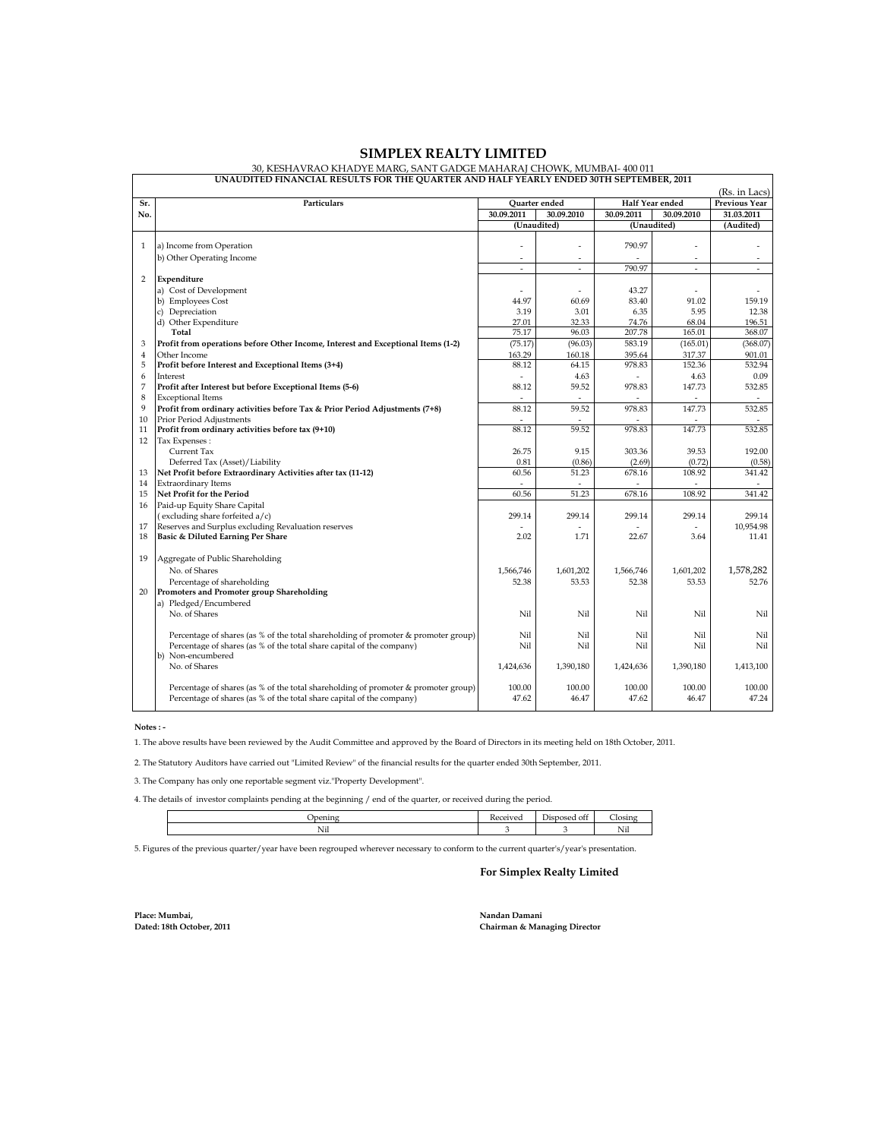|                     | (Rs. in Lacs)                                                                                    |                      |                          |                 |                          |                         |  |  |
|---------------------|--------------------------------------------------------------------------------------------------|----------------------|--------------------------|-----------------|--------------------------|-------------------------|--|--|
| Sr.                 | Particulars                                                                                      | <b>Ouarter</b> ended |                          | Half Year ended |                          | <b>Previous Year</b>    |  |  |
| No.                 |                                                                                                  | 30.09.2011           | 30.09.2010               | 30.09.2011      | 30.09.2010               | 31.03.2011<br>(Audited) |  |  |
|                     |                                                                                                  |                      | (Unaudited)              |                 | (Unaudited)              |                         |  |  |
|                     |                                                                                                  |                      | $\overline{a}$           |                 |                          |                         |  |  |
| $\mathbf{1}$        | a) Income from Operation                                                                         |                      |                          | 790.97          |                          |                         |  |  |
|                     | b) Other Operating Income                                                                        | ÷                    | $\overline{\phantom{a}}$ |                 | $\overline{\phantom{a}}$ |                         |  |  |
|                     |                                                                                                  | $\overline{a}$       | ÷                        | 790.97          | $\overline{a}$           | ÷                       |  |  |
| $\overline{2}$      | Expenditure                                                                                      |                      |                          |                 |                          |                         |  |  |
|                     | a) Cost of Development                                                                           |                      | $\sim$                   | 43.27           | $\overline{a}$           |                         |  |  |
|                     | b) Employees Cost                                                                                | 44.97<br>3.19        | 60.69                    | 83.40           | 91.02<br>5.95            | 159.19                  |  |  |
|                     | c) Depreciation                                                                                  | 27.01                | 3.01<br>32.33            | 6.35<br>74.76   | 68.04                    | 12.38<br>196.51         |  |  |
|                     | d) Other Expenditure<br>Total                                                                    | 75.17                | 96.03                    | 207.78          | 165.01                   | 368.07                  |  |  |
|                     |                                                                                                  |                      |                          | 583.19          | (165.01)                 | (368.07)                |  |  |
| 3<br>$\overline{4}$ | Profit from operations before Other Income, Interest and Exceptional Items (1-2)<br>Other Income | (75.17)<br>163.29    | (96.03)<br>160.18        | 395.64          | 317.37                   | 901.01                  |  |  |
| 5                   | Profit before Interest and Exceptional Items (3+4)                                               | 88.12                | 64.15                    | 978.83          | 152.36                   | 532.94                  |  |  |
| 6                   | Interest                                                                                         |                      | 4.63                     |                 | 4.63                     | 0.09                    |  |  |
| 7                   | Profit after Interest but before Exceptional Items (5-6)                                         | 88.12                | 59.52                    | 978.83          | 147.73                   | 532.85                  |  |  |
| 8                   | <b>Exceptional Items</b>                                                                         | $\overline{a}$       |                          |                 |                          |                         |  |  |
| 9                   | Profit from ordinary activities before Tax & Prior Period Adjustments (7+8)                      | 88.12                | 59.52                    | 978.83          | 147.73                   | 532.85                  |  |  |
| 10                  | Prior Period Adjustments                                                                         |                      |                          |                 |                          |                         |  |  |
| 11                  | Profit from ordinary activities before tax (9+10)                                                | 88.12                | 59.52                    | 978.83          | 147.73                   | 532.85                  |  |  |
| 12                  | Tax Expenses:                                                                                    |                      |                          |                 |                          |                         |  |  |
|                     | Current Tax                                                                                      | 26.75                | 9.15                     | 303.36          | 39.53                    | 192.00                  |  |  |
|                     | Deferred Tax (Asset)/Liability                                                                   | 0.81                 | (0.86)                   | (2.69)          | (0.72)                   | (0.58)                  |  |  |
| 13                  | Net Profit before Extraordinary Activities after tax (11-12)                                     | 60.56                | 51.23                    | 678.16          | 108.92                   | 341.42                  |  |  |
| 14                  | <b>Extraordinary Items</b>                                                                       | $\sim$               |                          |                 |                          |                         |  |  |
| 15                  | Net Profit for the Period                                                                        | 60.56                | 51.23                    | 678.16          | 108.92                   | 341.42                  |  |  |
| 16                  | Paid-up Equity Share Capital                                                                     |                      |                          |                 |                          |                         |  |  |
|                     | (excluding share forfeited a/c)                                                                  | 299.14               | 299.14                   | 299.14          | 299.14                   | 299.14                  |  |  |
| 17                  | Reserves and Surplus excluding Revaluation reserves                                              |                      |                          |                 |                          | 10.954.98               |  |  |
| 18                  | Basic & Diluted Earning Per Share                                                                | 2.02                 | 1.71                     | 22.67           | 3.64                     | 11.41                   |  |  |
|                     |                                                                                                  |                      |                          |                 |                          |                         |  |  |
| 19                  | Aggregate of Public Shareholding                                                                 |                      |                          |                 |                          |                         |  |  |
|                     | No. of Shares                                                                                    | 1,566,746            | 1.601.202                | 1,566,746       | 1.601.202                | 1,578,282               |  |  |
|                     | Percentage of shareholding                                                                       | 52.38                | 53.53                    | 52.38           | 53.53                    | 52.76                   |  |  |
| 20                  | Promoters and Promoter group Shareholding                                                        |                      |                          |                 |                          |                         |  |  |
|                     | a) Pledged/Encumbered                                                                            |                      |                          |                 |                          |                         |  |  |
|                     | No. of Shares                                                                                    | Nil                  | Nil                      | Nil             | Nil                      | Nil                     |  |  |
|                     |                                                                                                  |                      |                          |                 |                          |                         |  |  |
|                     | Percentage of shares (as % of the total shareholding of promoter & promoter group)               | Nil                  | Nil                      | Nil             | Nil                      | Nil                     |  |  |
|                     | Percentage of shares (as % of the total share capital of the company)                            | Nil                  | Nil                      | Nil             | Nil                      | Nil                     |  |  |
|                     | b) Non-encumbered                                                                                |                      |                          |                 |                          |                         |  |  |
|                     | No. of Shares                                                                                    | 1,424,636            | 1,390,180                | 1,424,636       | 1,390,180                | 1,413,100               |  |  |
|                     |                                                                                                  |                      |                          |                 |                          |                         |  |  |
|                     | Percentage of shares (as % of the total shareholding of promoter & promoter group)               | 100.00               | 100.00                   | 100.00          | 100.00                   | 100.00                  |  |  |
|                     | Percentage of shares (as % of the total share capital of the company)                            | 47.62                | 46.47                    | 47.62           | 46.47                    | 47.24                   |  |  |
|                     |                                                                                                  |                      |                          |                 |                          |                         |  |  |

## **SIMPLEX REALTY LIMITED**

30, KESHAVRAO KHADYE MARG, SANT GADGE MAHARAJ CHOWK, MUMBAI- 400 011 **UNAUDITED FINANCIAL RESULTS FOR THE QUARTER AND HALF YEARLY ENDED 30TH SEPTEMBER, 2011**

 **Notes : -**

Г

1. The above results have been reviewed by the Audit Committee and approved by the Board of Directors in its meeting held on 18th October, 2011.

2. The Statutory Auditors have carried out "Limited Review" of the financial results for the quarter ended 30th September, 2011.

3. The Company has only one reportable segment viz."Property Development".

4. The details of investor complaints pending at the beginning / end of the quarter, or received during the period.

| ------<br>$-1111$ | her<br>ഫലേറ്<br>osed of!<br>╯ | $\sim$ |
|-------------------|-------------------------------|--------|
| Nil               |                               | N.     |

5. Figures of the previous quarter/year have been regrouped wherever necessary to conform to the current quarter's/year's presentation.

## **For Simplex Realty Limited**

**Place: Mumbai, Nandan Damani**

**Dated: 18th October, 2011 Chairman & Managing Director**